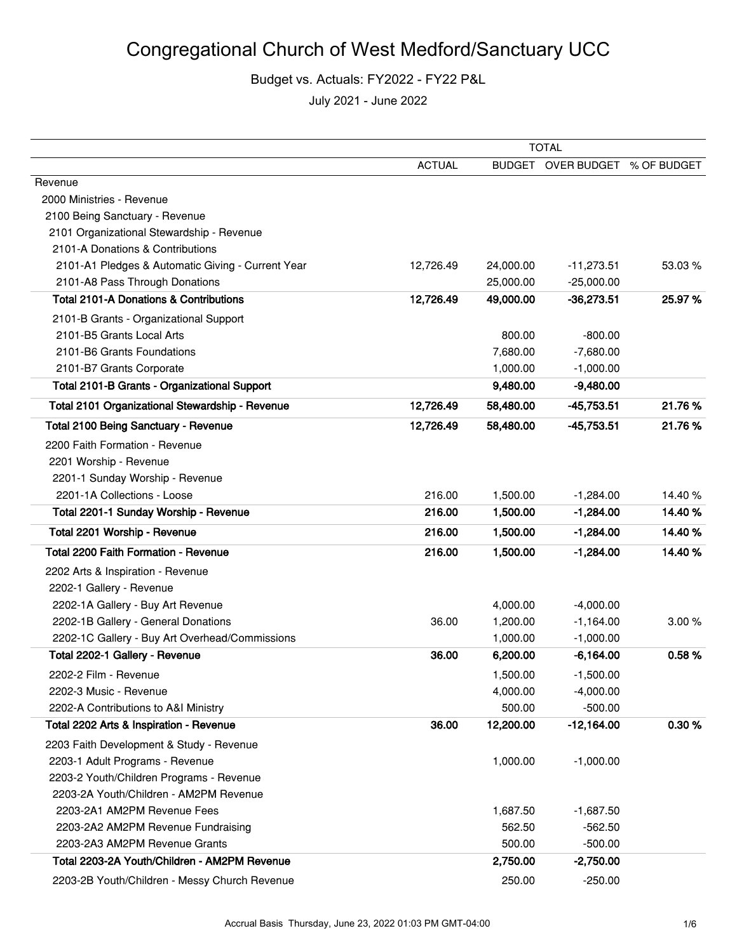|                                                   | <b>TOTAL</b>  |           |                                |         |
|---------------------------------------------------|---------------|-----------|--------------------------------|---------|
|                                                   | <b>ACTUAL</b> |           | BUDGET OVER BUDGET % OF BUDGET |         |
| Revenue                                           |               |           |                                |         |
| 2000 Ministries - Revenue                         |               |           |                                |         |
| 2100 Being Sanctuary - Revenue                    |               |           |                                |         |
| 2101 Organizational Stewardship - Revenue         |               |           |                                |         |
| 2101-A Donations & Contributions                  |               |           |                                |         |
| 2101-A1 Pledges & Automatic Giving - Current Year | 12,726.49     | 24,000.00 | $-11,273.51$                   | 53.03 % |
| 2101-A8 Pass Through Donations                    |               | 25,000.00 | $-25,000.00$                   |         |
| <b>Total 2101-A Donations &amp; Contributions</b> | 12,726.49     | 49,000.00 | $-36,273.51$                   | 25.97%  |
| 2101-B Grants - Organizational Support            |               |           |                                |         |
| 2101-B5 Grants Local Arts                         |               | 800.00    | $-800.00$                      |         |
| 2101-B6 Grants Foundations                        |               | 7,680.00  | $-7,680.00$                    |         |
| 2101-B7 Grants Corporate                          |               | 1,000.00  | $-1,000.00$                    |         |
| Total 2101-B Grants - Organizational Support      |               | 9,480.00  | $-9,480.00$                    |         |
| Total 2101 Organizational Stewardship - Revenue   | 12,726.49     | 58,480.00 | $-45,753.51$                   | 21.76%  |
| Total 2100 Being Sanctuary - Revenue              | 12,726.49     | 58,480.00 | $-45,753.51$                   | 21.76%  |
| 2200 Faith Formation - Revenue                    |               |           |                                |         |
| 2201 Worship - Revenue                            |               |           |                                |         |
| 2201-1 Sunday Worship - Revenue                   |               |           |                                |         |
| 2201-1A Collections - Loose                       | 216.00        | 1,500.00  | $-1,284.00$                    | 14.40 % |
| Total 2201-1 Sunday Worship - Revenue             | 216.00        | 1,500.00  | $-1,284.00$                    | 14.40%  |
| Total 2201 Worship - Revenue                      | 216.00        | 1,500.00  | $-1,284.00$                    | 14.40%  |
| Total 2200 Faith Formation - Revenue              | 216.00        | 1,500.00  | $-1,284.00$                    | 14.40%  |
| 2202 Arts & Inspiration - Revenue                 |               |           |                                |         |
| 2202-1 Gallery - Revenue                          |               |           |                                |         |
| 2202-1A Gallery - Buy Art Revenue                 |               | 4,000.00  | $-4,000.00$                    |         |
| 2202-1B Gallery - General Donations               | 36.00         | 1,200.00  | $-1,164.00$                    | 3.00%   |
| 2202-1C Gallery - Buy Art Overhead/Commissions    |               | 1,000.00  | $-1,000.00$                    |         |
| Total 2202-1 Gallery - Revenue                    | 36.00         | 6,200.00  | $-6,164.00$                    | 0.58%   |
| 2202-2 Film - Revenue                             |               | 1.500.00  | $-1.500.00$                    |         |
| 2202-3 Music - Revenue                            |               | 4,000.00  | $-4,000.00$                    |         |
| 2202-A Contributions to A&I Ministry              |               | 500.00    | $-500.00$                      |         |
| Total 2202 Arts & Inspiration - Revenue           | 36.00         | 12,200.00 | $-12,164.00$                   | 0.30%   |
| 2203 Faith Development & Study - Revenue          |               |           |                                |         |
| 2203-1 Adult Programs - Revenue                   |               | 1,000.00  | $-1,000.00$                    |         |
| 2203-2 Youth/Children Programs - Revenue          |               |           |                                |         |
| 2203-2A Youth/Children - AM2PM Revenue            |               |           |                                |         |
| 2203-2A1 AM2PM Revenue Fees                       |               | 1,687.50  | $-1,687.50$                    |         |
| 2203-2A2 AM2PM Revenue Fundraising                |               | 562.50    | $-562.50$                      |         |
| 2203-2A3 AM2PM Revenue Grants                     |               | 500.00    | $-500.00$                      |         |
| Total 2203-2A Youth/Children - AM2PM Revenue      |               | 2,750.00  | $-2,750.00$                    |         |
| 2203-2B Youth/Children - Messy Church Revenue     |               | 250.00    | $-250.00$                      |         |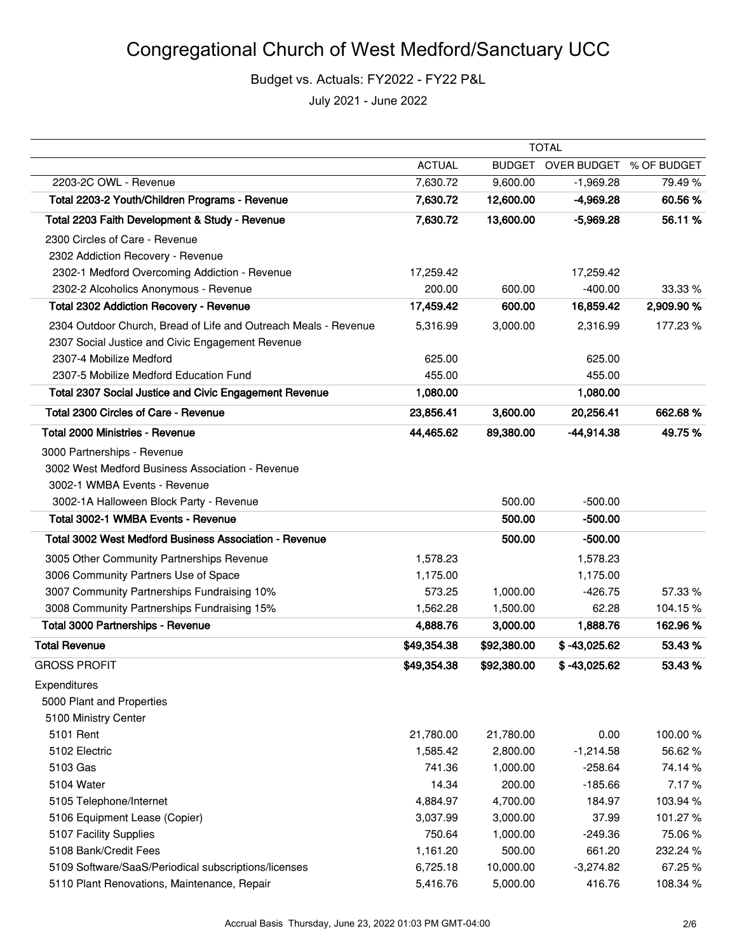|                                                                 | <b>TOTAL</b>  |               |                         |            |
|-----------------------------------------------------------------|---------------|---------------|-------------------------|------------|
|                                                                 | <b>ACTUAL</b> | <b>BUDGET</b> | OVER BUDGET % OF BUDGET |            |
| 2203-2C OWL - Revenue                                           | 7,630.72      | 9,600.00      | $-1,969.28$             | 79.49%     |
| Total 2203-2 Youth/Children Programs - Revenue                  | 7,630.72      | 12,600.00     | $-4,969.28$             | 60.56%     |
| Total 2203 Faith Development & Study - Revenue                  | 7,630.72      | 13,600.00     | $-5,969.28$             | 56.11%     |
| 2300 Circles of Care - Revenue                                  |               |               |                         |            |
| 2302 Addiction Recovery - Revenue                               |               |               |                         |            |
| 2302-1 Medford Overcoming Addiction - Revenue                   | 17,259.42     |               | 17,259.42               |            |
| 2302-2 Alcoholics Anonymous - Revenue                           | 200.00        | 600.00        | $-400.00$               | 33.33 %    |
| <b>Total 2302 Addiction Recovery - Revenue</b>                  | 17,459.42     | 600.00        | 16,859.42               | 2,909.90 % |
| 2304 Outdoor Church, Bread of Life and Outreach Meals - Revenue | 5,316.99      | 3,000.00      | 2,316.99                | 177.23%    |
| 2307 Social Justice and Civic Engagement Revenue                |               |               |                         |            |
| 2307-4 Mobilize Medford                                         | 625.00        |               | 625.00                  |            |
| 2307-5 Mobilize Medford Education Fund                          | 455.00        |               | 455.00                  |            |
| Total 2307 Social Justice and Civic Engagement Revenue          | 1,080.00      |               | 1,080.00                |            |
| Total 2300 Circles of Care - Revenue                            | 23,856.41     | 3,600.00      | 20,256.41               | 662.68%    |
| <b>Total 2000 Ministries - Revenue</b>                          | 44,465.62     | 89,380.00     | $-44,914.38$            | 49.75%     |
| 3000 Partnerships - Revenue                                     |               |               |                         |            |
| 3002 West Medford Business Association - Revenue                |               |               |                         |            |
| 3002-1 WMBA Events - Revenue                                    |               |               |                         |            |
| 3002-1A Halloween Block Party - Revenue                         |               | 500.00        | $-500.00$               |            |
| Total 3002-1 WMBA Events - Revenue                              |               | 500.00        | $-500.00$               |            |
| <b>Total 3002 West Medford Business Association - Revenue</b>   |               | 500.00        | $-500.00$               |            |
| 3005 Other Community Partnerships Revenue                       | 1,578.23      |               | 1,578.23                |            |
| 3006 Community Partners Use of Space                            | 1,175.00      |               | 1,175.00                |            |
| 3007 Community Partnerships Fundraising 10%                     | 573.25        | 1,000.00      | $-426.75$               | 57.33 %    |
| 3008 Community Partnerships Fundraising 15%                     | 1,562.28      | 1,500.00      | 62.28                   | 104.15%    |
| Total 3000 Partnerships - Revenue                               | 4,888.76      | 3,000.00      | 1,888.76                | 162.96%    |
| <b>Total Revenue</b>                                            | \$49,354.38   | \$92,380.00   | $$ -43,025.62$          | 53.43%     |
| <b>GROSS PROFIT</b>                                             | \$49,354.38   | \$92,380.00   | $$ -43,025.62$          | 53.43%     |
| Expenditures                                                    |               |               |                         |            |
| 5000 Plant and Properties                                       |               |               |                         |            |
| 5100 Ministry Center                                            |               |               |                         |            |
| 5101 Rent                                                       | 21,780.00     | 21,780.00     | 0.00                    | 100.00%    |
| 5102 Electric                                                   | 1,585.42      | 2,800.00      | $-1,214.58$             | 56.62%     |
| 5103 Gas                                                        | 741.36        | 1,000.00      | $-258.64$               | 74.14%     |
| 5104 Water                                                      | 14.34         | 200.00        | $-185.66$               | 7.17%      |
| 5105 Telephone/Internet                                         | 4,884.97      | 4,700.00      | 184.97                  | 103.94 %   |
| 5106 Equipment Lease (Copier)                                   | 3,037.99      | 3,000.00      | 37.99                   | 101.27%    |
| 5107 Facility Supplies                                          | 750.64        | 1,000.00      | $-249.36$               | 75.06%     |
| 5108 Bank/Credit Fees                                           | 1,161.20      | 500.00        | 661.20                  | 232.24 %   |
| 5109 Software/SaaS/Periodical subscriptions/licenses            | 6,725.18      | 10,000.00     | $-3,274.82$             | 67.25%     |
| 5110 Plant Renovations, Maintenance, Repair                     | 5,416.76      | 5,000.00      | 416.76                  | 108.34 %   |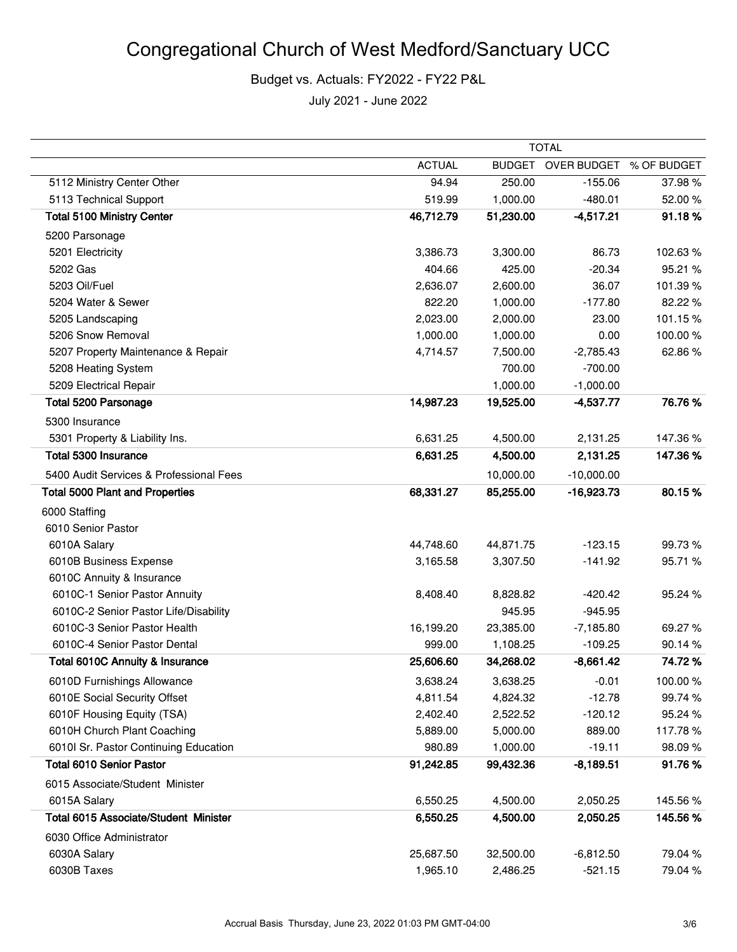|                                         | TOTAL         |               |                         |         |
|-----------------------------------------|---------------|---------------|-------------------------|---------|
|                                         | <b>ACTUAL</b> | <b>BUDGET</b> | OVER BUDGET % OF BUDGET |         |
| 5112 Ministry Center Other              | 94.94         | 250.00        | $-155.06$               | 37.98%  |
| 5113 Technical Support                  | 519.99        | 1,000.00      | $-480.01$               | 52.00%  |
| <b>Total 5100 Ministry Center</b>       | 46,712.79     | 51,230.00     | $-4,517.21$             | 91.18%  |
| 5200 Parsonage                          |               |               |                         |         |
| 5201 Electricity                        | 3,386.73      | 3,300.00      | 86.73                   | 102.63% |
| 5202 Gas                                | 404.66        | 425.00        | $-20.34$                | 95.21 % |
| 5203 Oil/Fuel                           | 2,636.07      | 2,600.00      | 36.07                   | 101.39% |
| 5204 Water & Sewer                      | 822.20        | 1,000.00      | $-177.80$               | 82.22%  |
| 5205 Landscaping                        | 2,023.00      | 2,000.00      | 23.00                   | 101.15% |
| 5206 Snow Removal                       | 1,000.00      | 1,000.00      | 0.00                    | 100.00% |
| 5207 Property Maintenance & Repair      | 4,714.57      | 7,500.00      | $-2,785.43$             | 62.86%  |
| 5208 Heating System                     |               | 700.00        | $-700.00$               |         |
| 5209 Electrical Repair                  |               | 1,000.00      | $-1,000.00$             |         |
| <b>Total 5200 Parsonage</b>             | 14,987.23     | 19,525.00     | $-4,537.77$             | 76.76%  |
| 5300 Insurance                          |               |               |                         |         |
| 5301 Property & Liability Ins.          | 6,631.25      | 4,500.00      | 2,131.25                | 147.36% |
| Total 5300 Insurance                    | 6,631.25      | 4,500.00      | 2,131.25                | 147.36% |
| 5400 Audit Services & Professional Fees |               | 10,000.00     | $-10,000.00$            |         |
| <b>Total 5000 Plant and Properties</b>  | 68,331.27     | 85,255.00     | $-16,923.73$            | 80.15%  |
| 6000 Staffing                           |               |               |                         |         |
| 6010 Senior Pastor                      |               |               |                         |         |
| 6010A Salary                            | 44,748.60     | 44,871.75     | $-123.15$               | 99.73%  |
| 6010B Business Expense                  | 3,165.58      | 3,307.50      | $-141.92$               | 95.71 % |
| 6010C Annuity & Insurance               |               |               |                         |         |
| 6010C-1 Senior Pastor Annuity           | 8,408.40      | 8,828.82      | $-420.42$               | 95.24%  |
| 6010C-2 Senior Pastor Life/Disability   |               | 945.95        | $-945.95$               |         |
| 6010C-3 Senior Pastor Health            | 16,199.20     | 23,385.00     | $-7,185.80$             | 69.27%  |
| 6010C-4 Senior Pastor Dental            | 999.00        | 1,108.25      | $-109.25$               | 90.14%  |
| Total 6010C Annuity & Insurance         | 25,606.60     | 34,268.02     | $-8,661.42$             | 74.72%  |
| 6010D Furnishings Allowance             | 3,638.24      | 3,638.25      | $-0.01$                 | 100.00% |
| 6010E Social Security Offset            | 4,811.54      | 4,824.32      | $-12.78$                | 99.74%  |
| 6010F Housing Equity (TSA)              | 2,402.40      | 2,522.52      | $-120.12$               | 95.24%  |
| 6010H Church Plant Coaching             | 5,889.00      | 5,000.00      | 889.00                  | 117.78% |
| 6010I Sr. Pastor Continuing Education   | 980.89        | 1,000.00      | $-19.11$                | 98.09%  |
| <b>Total 6010 Senior Pastor</b>         | 91,242.85     | 99,432.36     | $-8,189.51$             | 91.76%  |
| 6015 Associate/Student Minister         |               |               |                         |         |
| 6015A Salary                            | 6,550.25      | 4,500.00      | 2,050.25                | 145.56% |
| Total 6015 Associate/Student Minister   | 6,550.25      | 4,500.00      | 2,050.25                | 145.56% |
| 6030 Office Administrator               |               |               |                         |         |
| 6030A Salary                            | 25,687.50     | 32,500.00     | $-6,812.50$             | 79.04 % |
| 6030B Taxes                             | 1,965.10      | 2,486.25      | $-521.15$               | 79.04%  |
|                                         |               |               |                         |         |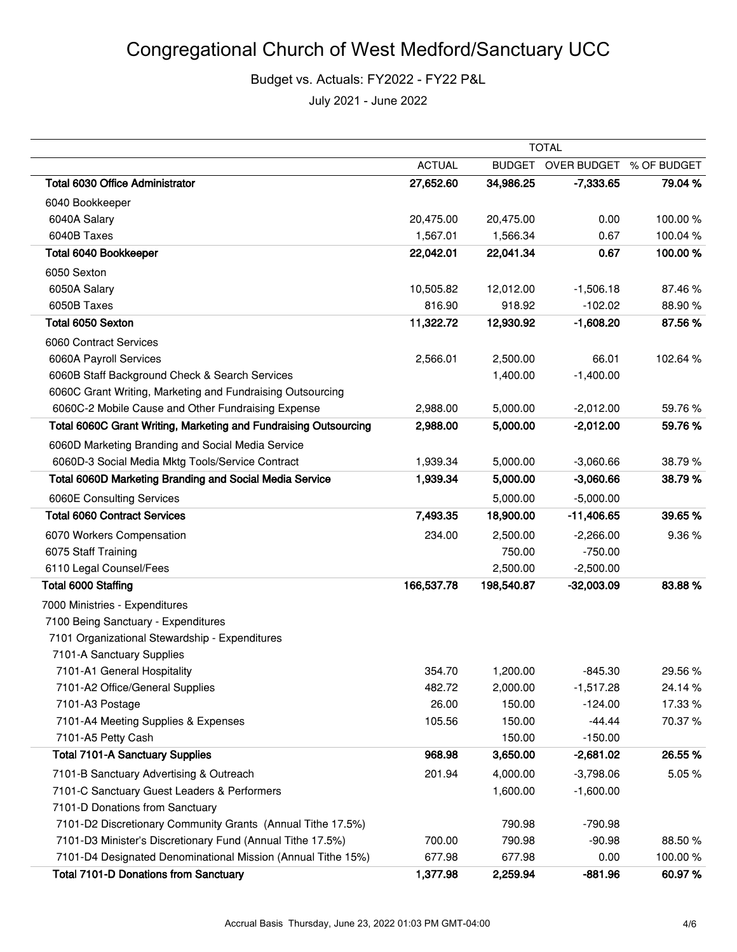|                                                                  | <b>TOTAL</b>  |               |              |             |
|------------------------------------------------------------------|---------------|---------------|--------------|-------------|
|                                                                  | <b>ACTUAL</b> | <b>BUDGET</b> | OVER BUDGET  | % OF BUDGET |
| <b>Total 6030 Office Administrator</b>                           | 27,652.60     | 34,986.25     | $-7,333.65$  | 79.04 %     |
| 6040 Bookkeeper                                                  |               |               |              |             |
| 6040A Salary                                                     | 20,475.00     | 20,475.00     | 0.00         | 100.00%     |
| 6040B Taxes                                                      | 1,567.01      | 1,566.34      | 0.67         | 100.04%     |
| Total 6040 Bookkeeper                                            | 22,042.01     | 22,041.34     | 0.67         | 100.00%     |
| 6050 Sexton                                                      |               |               |              |             |
| 6050A Salary                                                     | 10,505.82     | 12,012.00     | $-1,506.18$  | 87.46%      |
| 6050B Taxes                                                      | 816.90        | 918.92        | $-102.02$    | 88.90%      |
| Total 6050 Sexton                                                | 11,322.72     | 12,930.92     | $-1,608.20$  | 87.56%      |
| 6060 Contract Services                                           |               |               |              |             |
| 6060A Payroll Services                                           | 2,566.01      | 2,500.00      | 66.01        | 102.64 %    |
| 6060B Staff Background Check & Search Services                   |               | 1,400.00      | $-1,400.00$  |             |
| 6060C Grant Writing, Marketing and Fundraising Outsourcing       |               |               |              |             |
| 6060C-2 Mobile Cause and Other Fundraising Expense               | 2,988.00      | 5,000.00      | $-2,012.00$  | 59.76 %     |
| Total 6060C Grant Writing, Marketing and Fundraising Outsourcing | 2,988.00      | 5,000.00      | $-2,012.00$  | 59.76%      |
| 6060D Marketing Branding and Social Media Service                |               |               |              |             |
| 6060D-3 Social Media Mktg Tools/Service Contract                 | 1,939.34      | 5,000.00      | $-3,060.66$  | 38.79%      |
| Total 6060D Marketing Branding and Social Media Service          | 1,939.34      | 5,000.00      | $-3,060.66$  | 38.79%      |
| 6060E Consulting Services                                        |               | 5,000.00      | $-5,000.00$  |             |
| <b>Total 6060 Contract Services</b>                              | 7,493.35      | 18,900.00     | $-11,406.65$ | 39.65 %     |
| 6070 Workers Compensation                                        | 234.00        | 2,500.00      | $-2,266.00$  | 9.36%       |
| 6075 Staff Training                                              |               | 750.00        | $-750.00$    |             |
| 6110 Legal Counsel/Fees                                          |               | 2,500.00      | $-2,500.00$  |             |
| Total 6000 Staffing                                              | 166,537.78    | 198,540.87    | $-32,003.09$ | 83.88%      |
| 7000 Ministries - Expenditures                                   |               |               |              |             |
| 7100 Being Sanctuary - Expenditures                              |               |               |              |             |
| 7101 Organizational Stewardship - Expenditures                   |               |               |              |             |
| 7101-A Sanctuary Supplies                                        |               |               |              |             |
| 7101-A1 General Hospitality                                      | 354.70        | 1,200.00      | $-845.30$    | 29.56%      |
| 7101-A2 Office/General Supplies                                  | 482.72        | 2,000.00      | $-1,517.28$  | 24.14%      |
| 7101-A3 Postage                                                  | 26.00         | 150.00        | $-124.00$    | 17.33 %     |
| 7101-A4 Meeting Supplies & Expenses                              | 105.56        | 150.00        | $-44.44$     | 70.37 %     |
| 7101-A5 Petty Cash                                               |               | 150.00        | $-150.00$    |             |
| <b>Total 7101-A Sanctuary Supplies</b>                           | 968.98        | 3,650.00      | $-2,681.02$  | 26.55 %     |
| 7101-B Sanctuary Advertising & Outreach                          | 201.94        | 4,000.00      | $-3,798.06$  | 5.05%       |
| 7101-C Sanctuary Guest Leaders & Performers                      |               | 1,600.00      | $-1,600.00$  |             |
| 7101-D Donations from Sanctuary                                  |               |               |              |             |
| 7101-D2 Discretionary Community Grants (Annual Tithe 17.5%)      |               | 790.98        | $-790.98$    |             |
| 7101-D3 Minister's Discretionary Fund (Annual Tithe 17.5%)       | 700.00        | 790.98        | $-90.98$     | 88.50 %     |
| 7101-D4 Designated Denominational Mission (Annual Tithe 15%)     | 677.98        | 677.98        | 0.00         | 100.00%     |
| <b>Total 7101-D Donations from Sanctuary</b>                     | 1,377.98      | 2,259.94      | $-881.96$    | 60.97%      |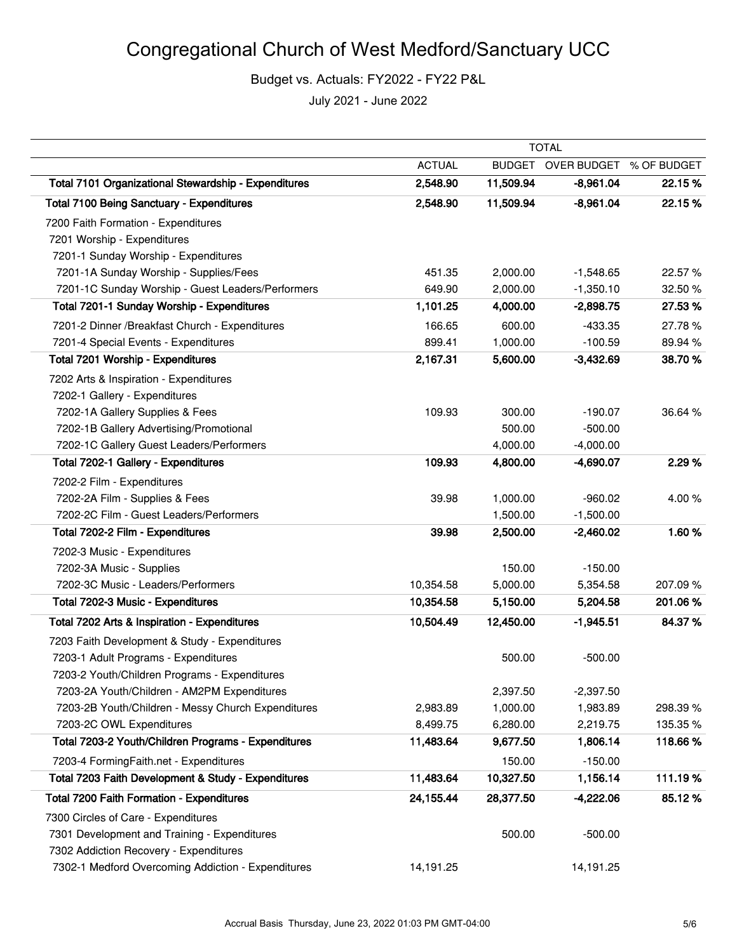|                                                      | <b>TOTAL</b>  |               |                         |          |
|------------------------------------------------------|---------------|---------------|-------------------------|----------|
|                                                      | <b>ACTUAL</b> | <b>BUDGET</b> | OVER BUDGET % OF BUDGET |          |
| Total 7101 Organizational Stewardship - Expenditures | 2,548.90      | 11,509.94     | $-8,961.04$             | 22.15 %  |
| <b>Total 7100 Being Sanctuary - Expenditures</b>     | 2,548.90      | 11,509.94     | $-8,961.04$             | 22.15%   |
| 7200 Faith Formation - Expenditures                  |               |               |                         |          |
| 7201 Worship - Expenditures                          |               |               |                         |          |
| 7201-1 Sunday Worship - Expenditures                 |               |               |                         |          |
| 7201-1A Sunday Worship - Supplies/Fees               | 451.35        | 2,000.00      | $-1,548.65$             | 22.57 %  |
| 7201-1C Sunday Worship - Guest Leaders/Performers    | 649.90        | 2,000.00      | $-1,350.10$             | 32.50 %  |
| Total 7201-1 Sunday Worship - Expenditures           | 1,101.25      | 4,000.00      | $-2,898.75$             | 27.53%   |
| 7201-2 Dinner / Breakfast Church - Expenditures      | 166.65        | 600.00        | $-433.35$               | 27.78%   |
| 7201-4 Special Events - Expenditures                 | 899.41        | 1,000.00      | $-100.59$               | 89.94 %  |
| Total 7201 Worship - Expenditures                    | 2,167.31      | 5,600.00      | $-3,432.69$             | 38.70%   |
| 7202 Arts & Inspiration - Expenditures               |               |               |                         |          |
| 7202-1 Gallery - Expenditures                        |               |               |                         |          |
| 7202-1A Gallery Supplies & Fees                      | 109.93        | 300.00        | $-190.07$               | 36.64 %  |
| 7202-1B Gallery Advertising/Promotional              |               | 500.00        | $-500.00$               |          |
| 7202-1C Gallery Guest Leaders/Performers             |               | 4,000.00      | $-4,000.00$             |          |
| Total 7202-1 Gallery - Expenditures                  | 109.93        | 4,800.00      | $-4,690.07$             | 2.29 %   |
| 7202-2 Film - Expenditures                           |               |               |                         |          |
| 7202-2A Film - Supplies & Fees                       | 39.98         | 1,000.00      | $-960.02$               | 4.00%    |
| 7202-2C Film - Guest Leaders/Performers              |               | 1,500.00      | $-1,500.00$             |          |
| Total 7202-2 Film - Expenditures                     | 39.98         | 2,500.00      | $-2,460.02$             | 1.60%    |
| 7202-3 Music - Expenditures                          |               |               |                         |          |
| 7202-3A Music - Supplies                             |               | 150.00        | $-150.00$               |          |
| 7202-3C Music - Leaders/Performers                   | 10,354.58     | 5,000.00      | 5,354.58                | 207.09%  |
| Total 7202-3 Music - Expenditures                    | 10,354.58     | 5,150.00      | 5,204.58                | 201.06%  |
| Total 7202 Arts & Inspiration - Expenditures         | 10,504.49     | 12,450.00     | $-1,945.51$             | 84.37%   |
| 7203 Faith Development & Study - Expenditures        |               |               |                         |          |
| 7203-1 Adult Programs - Expenditures                 |               | 500.00        | $-500.00$               |          |
| 7203-2 Youth/Children Programs - Expenditures        |               |               |                         |          |
| 7203-2A Youth/Children - AM2PM Expenditures          |               | 2,397.50      | $-2,397.50$             |          |
| 7203-2B Youth/Children - Messy Church Expenditures   | 2,983.89      | 1,000.00      | 1,983.89                | 298.39%  |
| 7203-2C OWL Expenditures                             | 8,499.75      | 6,280.00      | 2,219.75                | 135.35 % |
| Total 7203-2 Youth/Children Programs - Expenditures  | 11,483.64     | 9,677.50      | 1,806.14                | 118.66%  |
| 7203-4 FormingFaith.net - Expenditures               |               | 150.00        | $-150.00$               |          |
| Total 7203 Faith Development & Study - Expenditures  | 11,483.64     | 10,327.50     | 1,156.14                | 111.19%  |
| Total 7200 Faith Formation - Expenditures            | 24,155.44     | 28,377.50     | $-4,222.06$             | 85.12%   |
| 7300 Circles of Care - Expenditures                  |               |               |                         |          |
| 7301 Development and Training - Expenditures         |               | 500.00        | $-500.00$               |          |
| 7302 Addiction Recovery - Expenditures               |               |               |                         |          |
| 7302-1 Medford Overcoming Addiction - Expenditures   | 14,191.25     |               | 14,191.25               |          |